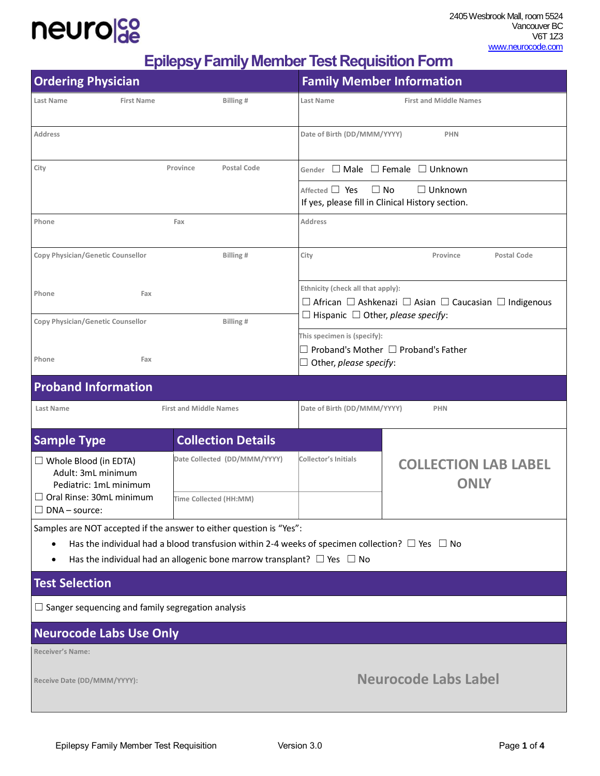### neurolco

**Epilepsy Family Member Test Requisition Form**

| <b>Ordering Physician</b>                                                                                                                                                                                                                                           |                                | <b>Family Member Information</b>                                                                                                                                      |                                                                                 |  |
|---------------------------------------------------------------------------------------------------------------------------------------------------------------------------------------------------------------------------------------------------------------------|--------------------------------|-----------------------------------------------------------------------------------------------------------------------------------------------------------------------|---------------------------------------------------------------------------------|--|
| Last Name<br><b>First Name</b>                                                                                                                                                                                                                                      | Billing#                       | Last Name                                                                                                                                                             | <b>First and Middle Names</b>                                                   |  |
| <b>Address</b>                                                                                                                                                                                                                                                      |                                | Date of Birth (DD/MMM/YYYY)                                                                                                                                           | <b>PHN</b>                                                                      |  |
| City                                                                                                                                                                                                                                                                | Province<br><b>Postal Code</b> |                                                                                                                                                                       | Gender $\Box$ Male $\Box$ Female $\Box$ Unknown                                 |  |
|                                                                                                                                                                                                                                                                     |                                | Affected $\Box$ Yes                                                                                                                                                   | $\Box$ No<br>$\Box$ Unknown<br>If yes, please fill in Clinical History section. |  |
| Phone                                                                                                                                                                                                                                                               | Fax                            | <b>Address</b>                                                                                                                                                        |                                                                                 |  |
| Copy Physician/Genetic Counsellor                                                                                                                                                                                                                                   | Billing#                       | City                                                                                                                                                                  | Postal Code<br>Province                                                         |  |
| Phone<br>Fax                                                                                                                                                                                                                                                        |                                | Ethnicity (check all that apply):<br>$\Box$ African $\Box$ Ashkenazi $\Box$ Asian $\Box$ Caucasian $\Box$ Indigenous<br>$\Box$ Hispanic $\Box$ Other, please specify: |                                                                                 |  |
| Copy Physician/Genetic Counsellor                                                                                                                                                                                                                                   | Billing#                       | This specimen is (specify):<br>$\Box$ Proband's Mother $\Box$ Proband's Father<br>$\Box$ Other, please specify:                                                       |                                                                                 |  |
| Phone<br>Fax                                                                                                                                                                                                                                                        |                                |                                                                                                                                                                       |                                                                                 |  |
| <b>Proband Information</b>                                                                                                                                                                                                                                          |                                |                                                                                                                                                                       |                                                                                 |  |
| <b>Last Name</b>                                                                                                                                                                                                                                                    | <b>First and Middle Names</b>  | Date of Birth (DD/MMM/YYYY)<br><b>PHN</b>                                                                                                                             |                                                                                 |  |
| <b>Sample Type</b>                                                                                                                                                                                                                                                  | <b>Collection Details</b>      |                                                                                                                                                                       |                                                                                 |  |
| $\Box$ Whole Blood (in EDTA)<br>Adult: 3mL minimum<br>Pediatric: 1mL minimum<br>$\Box$ Oral Rinse: 30mL minimum<br>$\Box$ DNA – source:                                                                                                                             | Date Collected (DD/MMM/YYYY)   | <b>Collector's Initials</b>                                                                                                                                           | <b>COLLECTION LAB LABEL</b><br><b>ONLY</b>                                      |  |
|                                                                                                                                                                                                                                                                     | Time Collected (HH:MM)         |                                                                                                                                                                       |                                                                                 |  |
| Samples are NOT accepted if the answer to either question is "Yes":<br>Has the individual had a blood transfusion within 2-4 weeks of specimen collection? $\Box$ Yes $\Box$ No<br>Has the individual had an allogenic bone marrow transplant? $\Box$ Yes $\Box$ No |                                |                                                                                                                                                                       |                                                                                 |  |
| <b>Test Selection</b>                                                                                                                                                                                                                                               |                                |                                                                                                                                                                       |                                                                                 |  |
| $\Box$ Sanger sequencing and family segregation analysis                                                                                                                                                                                                            |                                |                                                                                                                                                                       |                                                                                 |  |
| <b>Neurocode Labs Use Only</b>                                                                                                                                                                                                                                      |                                |                                                                                                                                                                       |                                                                                 |  |
| <b>Receiver's Name:</b>                                                                                                                                                                                                                                             |                                |                                                                                                                                                                       |                                                                                 |  |
| Receive Date (DD/MMM/YYYY):                                                                                                                                                                                                                                         |                                | <b>Neurocode Labs Label</b>                                                                                                                                           |                                                                                 |  |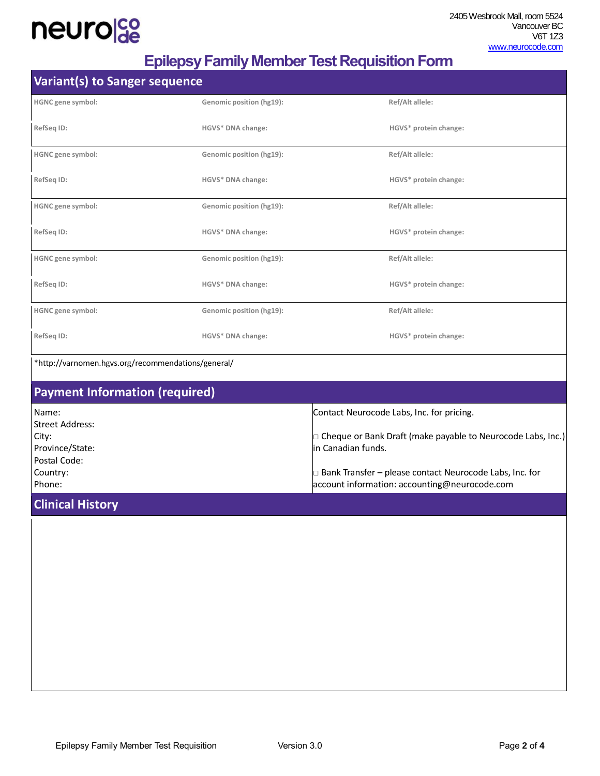## neurolde

### **Epilepsy Family Member Test Requisition Form**

| <b>Variant(s) to Sanger sequence</b>               |                          |                                                                                                                 |
|----------------------------------------------------|--------------------------|-----------------------------------------------------------------------------------------------------------------|
| HGNC gene symbol:                                  | Genomic position (hg19): | Ref/Alt allele:                                                                                                 |
| RefSeq ID:                                         | HGVS* DNA change:        | HGVS* protein change:                                                                                           |
| HGNC gene symbol:                                  | Genomic position (hg19): | Ref/Alt allele:                                                                                                 |
| RefSeq ID:                                         | HGVS* DNA change:        | HGVS* protein change:                                                                                           |
| HGNC gene symbol:                                  | Genomic position (hg19): | Ref/Alt allele:                                                                                                 |
| RefSeq ID:                                         | HGVS* DNA change:        | HGVS* protein change:                                                                                           |
| HGNC gene symbol:                                  | Genomic position (hg19): | Ref/Alt allele:                                                                                                 |
| RefSeq ID:                                         | HGVS* DNA change:        | HGVS* protein change:                                                                                           |
| HGNC gene symbol:                                  | Genomic position (hg19): | Ref/Alt allele:                                                                                                 |
| RefSeq ID:                                         | HGVS* DNA change:        | HGVS* protein change:                                                                                           |
| *http://varnomen.hgvs.org/recommendations/general/ |                          |                                                                                                                 |
| <b>Payment Information (required)</b>              |                          |                                                                                                                 |
| Name:<br><b>Street Address:</b>                    |                          | Contact Neurocode Labs, Inc. for pricing.                                                                       |
| City:<br>Province/State:                           |                          | $\Box$ Cheque or Bank Draft (make payable to Neurocode Labs, Inc.)<br>in Canadian funds.                        |
| Postal Code:<br>Country:<br>Phone:                 |                          | $\Box$ Bank Transfer – please contact Neurocode Labs, Inc. for<br>account information: accounting@neurocode.com |
| <b>Clinical History</b>                            |                          |                                                                                                                 |
|                                                    |                          |                                                                                                                 |
|                                                    |                          |                                                                                                                 |
|                                                    |                          |                                                                                                                 |
|                                                    |                          |                                                                                                                 |
|                                                    |                          |                                                                                                                 |
|                                                    |                          |                                                                                                                 |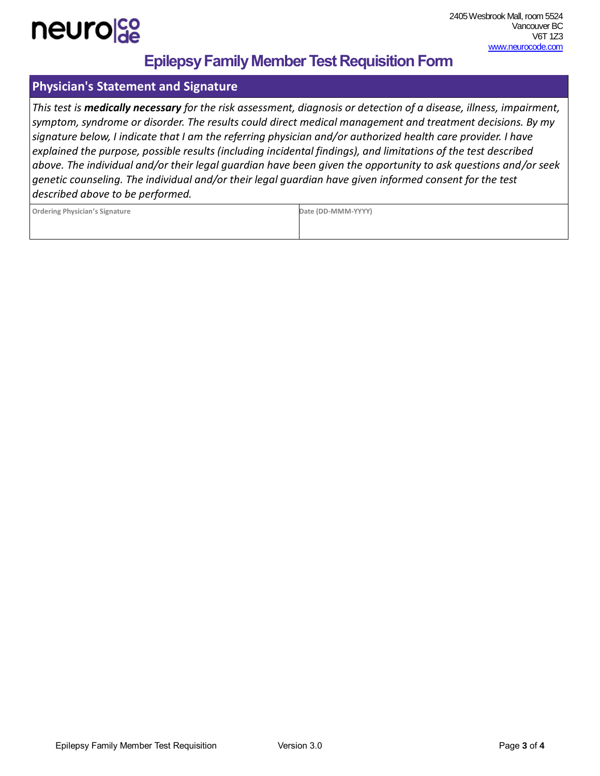

### **Epilepsy Family Member Test Requisition Form**

#### **Physician's Statement and Signature**

*This test is medically necessary for the risk assessment, diagnosis or detection of a disease, illness, impairment, symptom, syndrome or disorder. The results could direct medical management and treatment decisions. By my signature below, I indicate that I am the referring physician and/or authorized health care provider. I have explained the purpose, possible results (including incidental findings), and limitations of the test described above. The individual and/or their legal guardian have been given the opportunity to ask questions and/or seek genetic counseling. The individual and/or their legal guardian have given informed consent for the test described above to be performed.*

| <b>Ordering Physician's Signature</b> |  |
|---------------------------------------|--|
|                                       |  |

**Ordering Physician's Signature Date (DD-MMM-YYYY)**